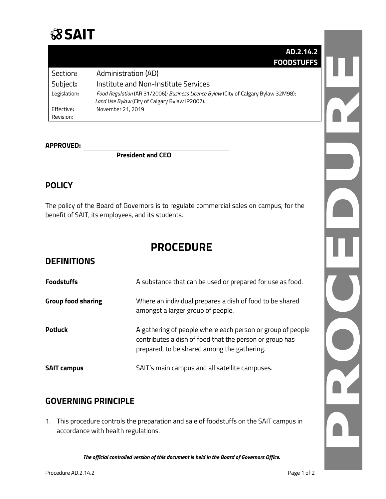

|              | AD.2.14.2                                                                           |
|--------------|-------------------------------------------------------------------------------------|
|              | <b>FOODSTUFFS</b>                                                                   |
| Section:     | Administration (AD)                                                                 |
| Subject:     | Institute and Non-Institute Services                                                |
| Legislation: | Food Regulation (AR 31/2006); Business Licence Bylaw (City of Calgary Bylaw 32M98); |
|              | Land Use Bylaw (City of Calgary Bylaw IP2007).                                      |
| Effective:   | November 21, 2019                                                                   |
| Revision:    |                                                                                     |

#### **APPROVED:**

**President and CEO**

#### **POLICY**

The policy of the Board of Governors is to regulate commercial sales on campus, for the benefit of SAIT, its employees, and its students.

# **PROCEDURE**

### **DEFINITIONS**

| <b>Foodstuffs</b>         | A substance that can be used or prepared for use as food.                                                                                                            |
|---------------------------|----------------------------------------------------------------------------------------------------------------------------------------------------------------------|
| <b>Group food sharing</b> | Where an individual prepares a dish of food to be shared<br>amongst a larger group of people.                                                                        |
| <b>Potluck</b>            | A gathering of people where each person or group of people<br>contributes a dish of food that the person or group has<br>prepared, to be shared among the gathering. |
| <b>SAIT campus</b>        | SAIT's main campus and all satellite campuses.                                                                                                                       |

#### **GOVERNING PRINCIPLE**

1. This procedure controls the preparation and sale of foodstuffs on the SAIT campus in accordance with health regulations.

*The official controlled version of this document is held in the Board of Governors Office.*